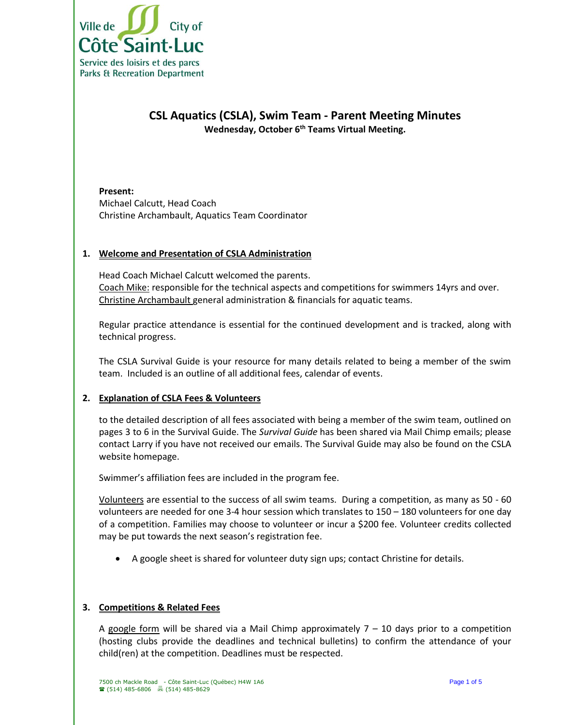

# **CSL Aquatics (CSLA), Swim Team - Parent Meeting Minutes Wednesday, October 6th Teams Virtual Meeting.**

**Present:** Michael Calcutt, Head Coach Christine Archambault, Aquatics Team Coordinator

#### **1. Welcome and Presentation of CSLA Administration**

Head Coach Michael Calcutt welcomed the parents. Coach Mike: responsible for the technical aspects and competitions for swimmers 14yrs and over. Christine Archambault general administration & financials for aquatic teams.

Regular practice attendance is essential for the continued development and is tracked, along with technical progress.

The CSLA Survival Guide is your resource for many details related to being a member of the swim team. Included is an outline of all additional fees, calendar of events.

### **2. Explanation of CSLA Fees & Volunteers**

to the detailed description of all fees associated with being a member of the swim team, outlined on pages 3 to 6 in the Survival Guide. The *Survival Guide* has been shared via Mail Chimp emails; please contact Larry if you have not received our emails. The Survival Guide may also be found on the CSLA website homepage.

Swimmer's affiliation fees are included in the program fee.

Volunteers are essential to the success of all swim teams. During a competition, as many as 50 - 60 volunteers are needed for one 3-4 hour session which translates to 150 – 180 volunteers for one day of a competition. Families may choose to volunteer or incur a \$200 fee. Volunteer credits collected may be put towards the next season's registration fee.

• A google sheet is shared for volunteer duty sign ups; contact Christine for details.

### **3. Competitions & Related Fees**

A google form will be shared via a Mail Chimp approximately  $7 - 10$  days prior to a competition (hosting clubs provide the deadlines and technical bulletins) to confirm the attendance of your child(ren) at the competition. Deadlines must be respected.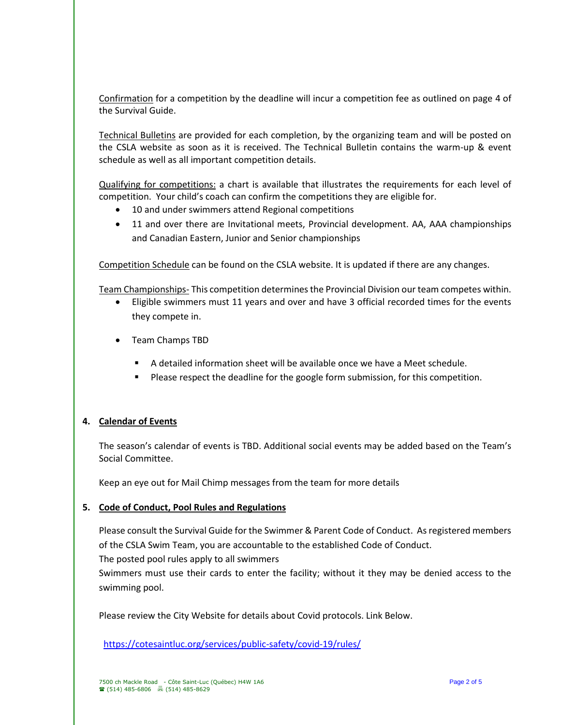Confirmation for a competition by the deadline will incur a competition fee as outlined on page 4 of the Survival Guide.

Technical Bulletins are provided for each completion, by the organizing team and will be posted on the CSLA website as soon as it is received. The Technical Bulletin contains the warm-up & event schedule as well as all important competition details.

Qualifying for competitions: a chart is available that illustrates the requirements for each level of competition. Your child's coach can confirm the competitions they are eligible for.

- 10 and under swimmers attend Regional competitions
- 11 and over there are Invitational meets, Provincial development. AA, AAA championships and Canadian Eastern, Junior and Senior championships

Competition Schedule can be found on the CSLA website. It is updated if there are any changes.

Team Championships- This competition determines the Provincial Division our team competes within.

- Eligible swimmers must 11 years and over and have 3 official recorded times for the events they compete in.
- Team Champs TBD
	- A detailed information sheet will be available once we have a Meet schedule.
	- **•** Please respect the deadline for the google form submission, for this competition.

### **4. Calendar of Events**

The season's calendar of events is TBD. Additional social events may be added based on the Team's Social Committee.

Keep an eye out for Mail Chimp messages from the team for more details

#### **5. Code of Conduct, Pool Rules and Regulations**

Please consult the Survival Guide for the Swimmer & Parent Code of Conduct. As registered members of the CSLA Swim Team, you are accountable to the established Code of Conduct.

The posted pool rules apply to all swimmers

Swimmers must use their cards to enter the facility; without it they may be denied access to the swimming pool.

Please review the City Website for details about Covid protocols. Link Below.

<https://cotesaintluc.org/services/public-safety/covid-19/rules/>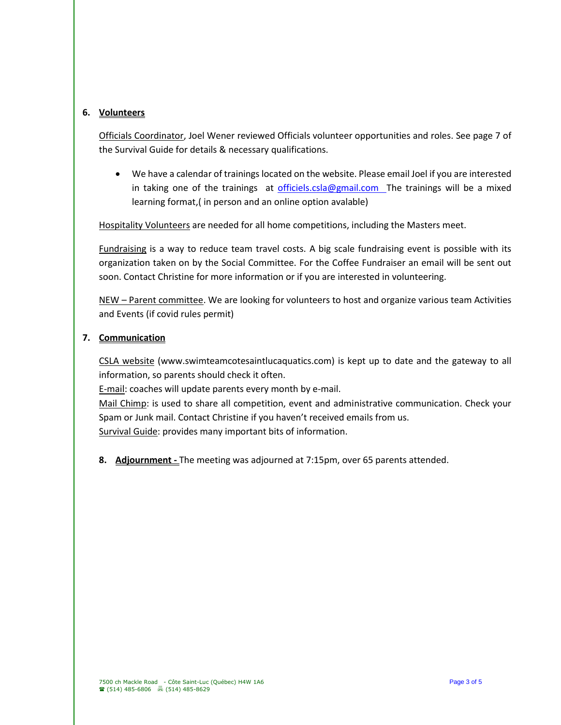## **6. Volunteers**

Officials Coordinator, Joel Wener reviewed Officials volunteer opportunities and roles. See page 7 of the Survival Guide for details & necessary qualifications.

• We have a calendar of trainings located on the website. Please email Joel if you are interested in taking one of the trainings at [officiels.csla@gmail.com](mailto:officiels.csla@gmail.com) The trainings will be a mixed learning format,( in person and an online option avalable)

Hospitality Volunteers are needed for all home competitions, including the Masters meet.

Fundraising is a way to reduce team travel costs. A big scale fundraising event is possible with its organization taken on by the Social Committee. For the Coffee Fundraiser an email will be sent out soon. Contact Christine for more information or if you are interested in volunteering.

NEW – Parent committee. We are looking for volunteers to host and organize various team Activities and Events (if covid rules permit)

### **7. Communication**

CSLA website (www.swimteamcotesaintlucaquatics.com) is kept up to date and the gateway to all information, so parents should check it often.

E-mail: coaches will update parents every month by e-mail.

Mail Chimp: is used to share all competition, event and administrative communication. Check your Spam or Junk mail. Contact Christine if you haven't received emails from us. Survival Guide: provides many important bits of information.

**8. Adjournment -** The meeting was adjourned at 7:15pm, over 65 parents attended.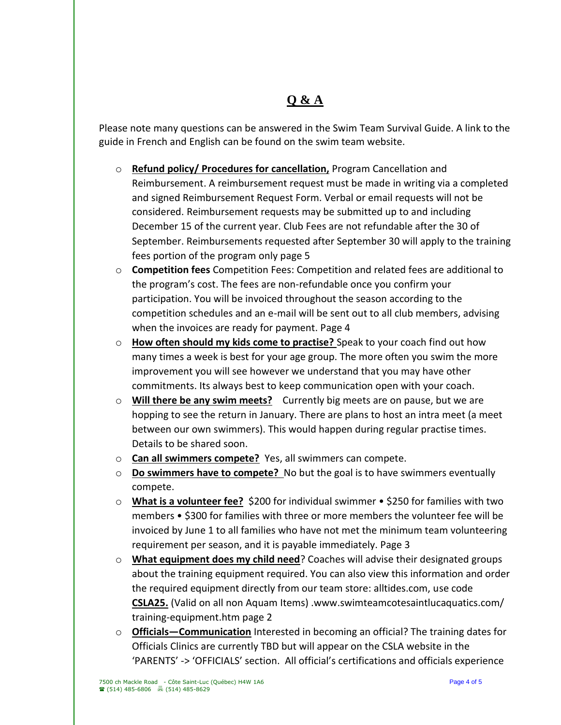# **Q & A**

Please note many questions can be answered in the Swim Team Survival Guide. A link to the guide in French and English can be found on the swim team website.

- o **Refund policy/ Procedures for cancellation,** Program Cancellation and Reimbursement. A reimbursement request must be made in writing via a completed and signed Reimbursement Request Form. Verbal or email requests will not be considered. Reimbursement requests may be submitted up to and including December 15 of the current year. Club Fees are not refundable after the 30 of September. Reimbursements requested after September 30 will apply to the training fees portion of the program only page 5
- o **Competition fees** Competition Fees: Competition and related fees are additional to the program's cost. The fees are non-refundable once you confirm your participation. You will be invoiced throughout the season according to the competition schedules and an e-mail will be sent out to all club members, advising when the invoices are ready for payment. Page 4
- o **How often should my kids come to practise?** Speak to your coach find out how many times a week is best for your age group. The more often you swim the more improvement you will see however we understand that you may have other commitments. Its always best to keep communication open with your coach.
- o **Will there be any swim meets?** Currently big meets are on pause, but we are hopping to see the return in January. There are plans to host an intra meet (a meet between our own swimmers). This would happen during regular practise times. Details to be shared soon.
- o **Can all swimmers compete?** Yes, all swimmers can compete.
- o **Do swimmers have to compete?** No but the goal is to have swimmers eventually compete.
- o **What is a volunteer fee?** \$200 for individual swimmer \$250 for families with two members • \$300 for families with three or more members the volunteer fee will be invoiced by June 1 to all families who have not met the minimum team volunteering requirement per season, and it is payable immediately. Page 3
- o **What equipment does my child need**? Coaches will advise their designated groups about the training equipment required. You can also view this information and order the required equipment directly from our team store: alltides.com, use code **CSLA25.** (Valid on all non Aquam Items) .www.swimteamcotesaintlucaquatics.com/ training-equipment.htm page 2
- o **Officials—Communication** Interested in becoming an official? The training dates for Officials Clinics are currently TBD but will appear on the CSLA website in the 'PARENTS' -> 'OFFICIALS' section. All official's certifications and officials experience